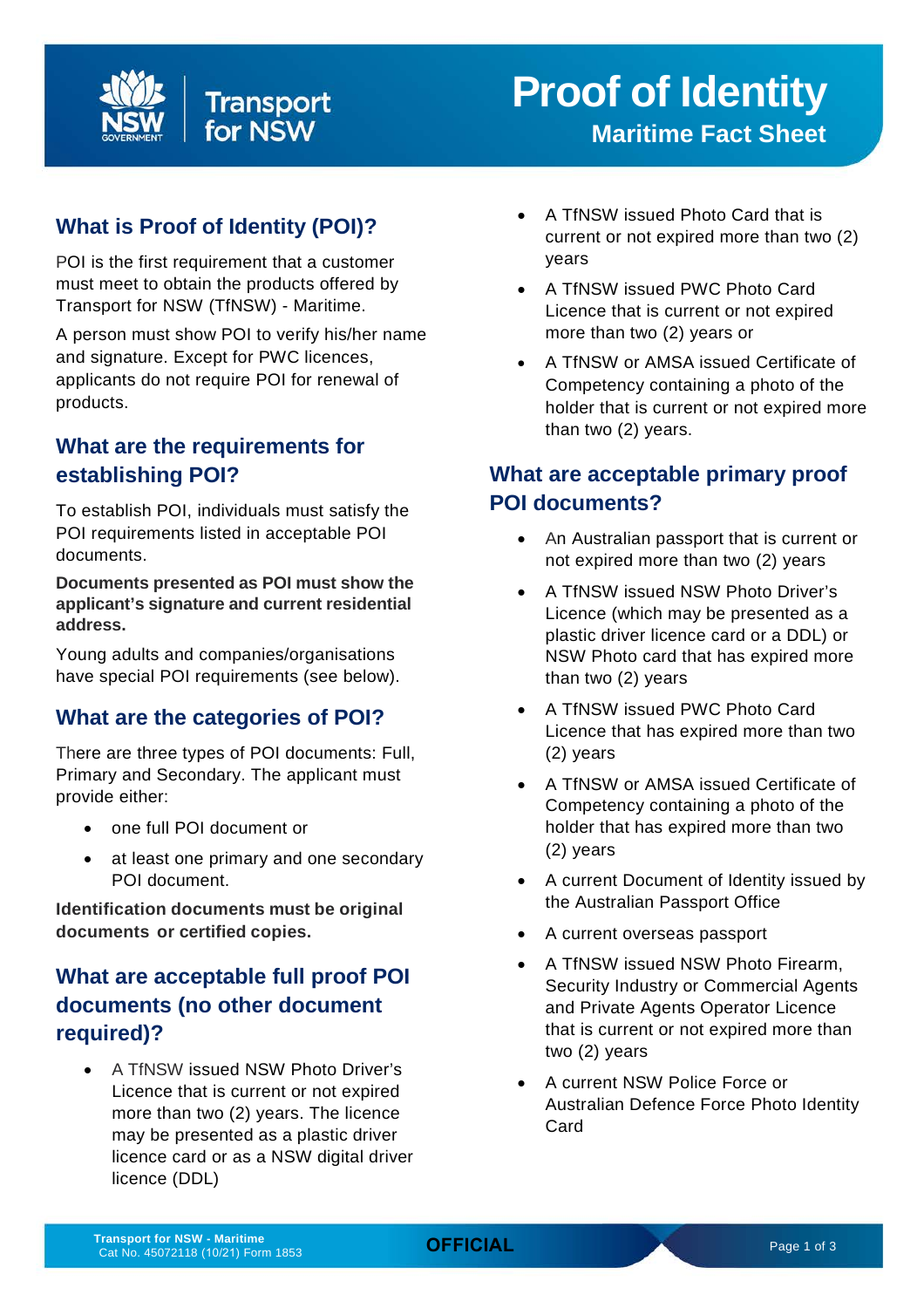

# **What is Proof of Identity (POI)?**

POI is the first requirement that a customer must meet to obtain the products offered by Transport for NSW (TfNSW) - Maritime.

A person must show POI to verify his/her name and signature. Except for PWC licences, applicants do not require POI for renewal of products.

## **What are the requirements for establishing POI?**

To establish POI, individuals must satisfy the POI requirements listed in acceptable POI documents.

**Documents presented as POI must show the applicant's signature and current residential address.**

Young adults and companies/organisations have special POI requirements (see below).

#### **What are the categories of POI?**

There are three types of POI documents: Full, Primary and Secondary. The applicant must provide either:

- one full POI document or
- at least one primary and one secondary POI document.

**Identification documents must be original documents or certified copies.**

# **What are acceptable full proof POI documents (no other document required)?**

• A TfNSW issued NSW Photo Driver's Licence that is current or not expired more than two (2) years. The licence may be presented as a plastic driver licence card or as a NSW digital driver licence (DDL)

- A TfNSW issued Photo Card that is current or not expired more than two (2) years
- A TfNSW issued PWC Photo Card Licence that is current or not expired more than two (2) years or
- A TfNSW or AMSA issued Certificate of Competency containing a photo of the holder that is current or not expired more than two (2) years.

#### **What are acceptable primary proof POI documents?**

- An Australian passport that is current or not expired more than two (2) years
- A TfNSW issued NSW Photo Driver's Licence (which may be presented as a plastic driver licence card or a DDL) or NSW Photo card that has expired more than two (2) years
- A TfNSW issued PWC Photo Card Licence that has expired more than two (2) years
- A TfNSW or AMSA issued Certificate of Competency containing a photo of the holder that has expired more than two (2) years
- A current Document of Identity issued by the Australian Passport Office
- A current overseas passport
- A TfNSW issued NSW Photo Firearm, Security Industry or Commercial Agents and Private Agents Operator Licence that is current or not expired more than two (2) years
- A current NSW Police Force or Australian Defence Force Photo Identity Card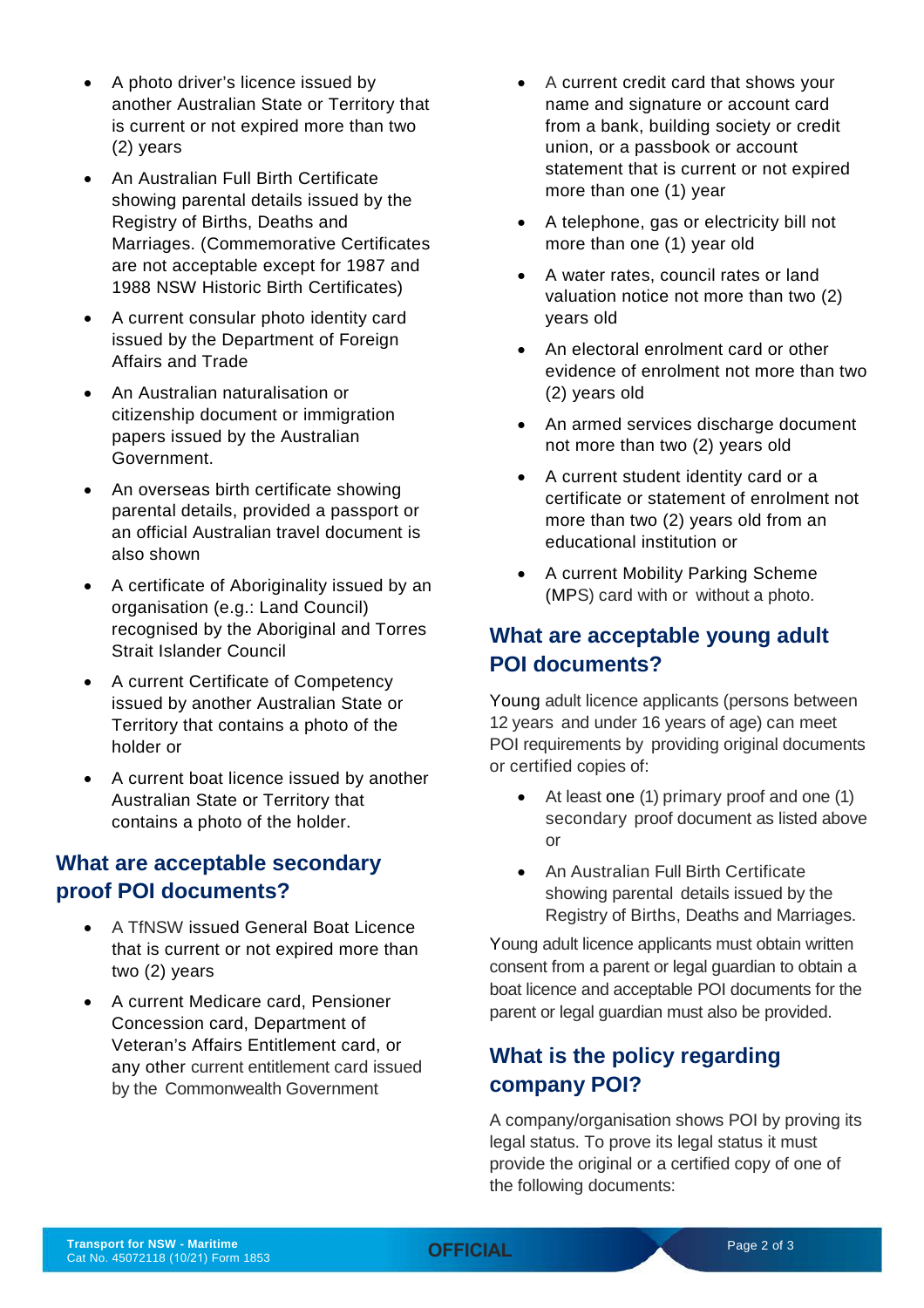- A photo driver's licence issued by another Australian State or Territory that is current or not expired more than two (2) years
- An Australian Full Birth Certificate showing parental details issued by the Registry of Births, Deaths and Marriages. (Commemorative Certificates are not acceptable except for 1987 and 1988 NSW Historic Birth Certificates)
- A current consular photo identity card issued by the Department of Foreign Affairs and Trade
- An Australian naturalisation or citizenship document or immigration papers issued by the Australian Government.
- An overseas birth certificate showing parental details, provided a passport or an official Australian travel document is also shown
- A certificate of Aboriginality issued by an organisation (e.g.: Land Council) recognised by the Aboriginal and Torres Strait Islander Council
- A current Certificate of Competency issued by another Australian State or Territory that contains a photo of the holder or
- A current boat licence issued by another Australian State or Territory that contains a photo of the holder.

#### **What are acceptable secondary proof POI documents?**

- A TfNSW issued General Boat Licence that is current or not expired more than two (2) years
- A current Medicare card, Pensioner Concession card, Department of Veteran's Affairs Entitlement card, or any other current entitlement card issued by the Commonwealth Government
- A current credit card that shows your name and signature or account card from a bank, building society or credit union, or a passbook or account statement that is current or not expired more than one (1) year
- A telephone, gas or electricity bill not more than one (1) year old
- A water rates, council rates or land valuation notice not more than two (2) years old
- An electoral enrolment card or other evidence of enrolment not more than two (2) years old
- An armed services discharge document not more than two (2) years old
- A current student identity card or a certificate or statement of enrolment not more than two (2) years old from an educational institution or
- A current Mobility Parking Scheme (MPS) card with or without a photo.

## **What are acceptable young adult POI documents?**

Young adult licence applicants (persons between 12 years and under 16 years of age) can meet POI requirements by providing original documents or certified copies of:

- At least one (1) primary proof and one (1) secondary proof document as listed above or
- An Australian Full Birth Certificate showing parental details issued by the Registry of Births, Deaths and Marriages.

Young adult licence applicants must obtain written consent from a parent or legal guardian to obtain a boat licence and acceptable POI documents for the parent or legal guardian must also be provided.

#### **What is the policy regarding company POI?**

A company/organisation shows POI by proving its legal status. To prove its legal status it must provide the original or a certified copy of one of the following documents: